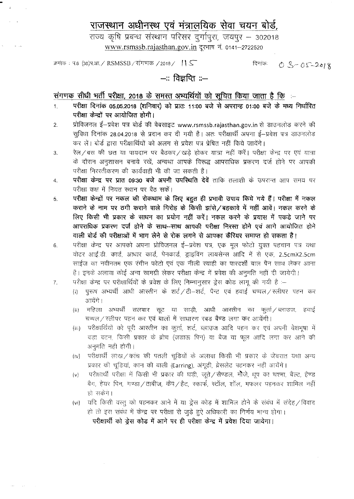## राजस्थान अधीनस्थ एवं मंत्रालयिक सेवा चयन बोर्ड.

राज्य कृषि प्रबन्ध संस्थान परिसर दुर्गापुरा, जयपुर - 302018 [www.rsmssb.rajasthan.gov.in](http://www.rsmssb.rajasthan.gov.in) दरभाष नं. 0141-2722520

<sup>~</sup> : Lf.8 (38)Lf.31I./ RSMSSB/{jlIUICl'l /2018/ *'1.s:-* दिनांकः  $03-05-2018$ 

## —:: विज्ञप्ति ::—

## 't1'~**<sup>I</sup> DICfj <sup>~</sup> 11Cff tr&rr, <sup>2018</sup> <sup>~</sup> <sup>~</sup> <sup>~</sup>** *em <sup>~</sup>* fcpm 'GffiiT *t* **fcp**

- 1. परीक्षा दिनांक 05.05.2018 (शनिवार) को प्रातः 11:00 बजे से अपरान्ह 01:00 बजे के मध्य निर्धारित परीक्षा केन्द्रों पर आयोजित होगी।
- 2. प्रोविजनल ई-प्रवेश पत्र बोर्ड की वेबसाइट www.rsmssb.rajasthan.gov.in से डाउनलोड करने की सुविधा दिनांक 28.04.2018 से प्रदान कर दी गयी है। अतः परीक्षार्थी अपना ई-प्रवेश पत्र डाउनलोड कर लें। बोर्ड द्वारा परीक्षार्थियों को अलग से प्रवेश पत्र प्रेषित नहीं किये जायेंगे।
- 3. रेल/बस की छत या पायदान पर बैठकर/खड़े होकर यात्रा नहीं करें। परीक्षा केन्द्र पर एवं यात्रा के दौरान अनुशासन बनाये रखें, अन्यथा आपके विरूद्ध आपराधिक प्रकरण दर्ज होने पर आपकी परीक्षा निरस्तीकरण की कार्यवाही भी की जा सकती है।
- 4. **परीक्षा केन्द्र पर प्रात 09:30 बजे अपनी उपस्थिति देवें** ताकि तलाशी के उपरान्त आप समय पर परीक्षा कक्ष में नियत स्थान पर बैठ सकें।
- 5. परीक्षा केन्द्रों पर नकल की रोकथाम के लिए बहुत ही प्रभावी उपाय किये गये हैं। परीक्षा में नकल कराने के नाम पर ठगी कराने वाले गिरोह के किसी झांसे/बहकावे में नहीं आवें। नकल करने के करान के नाम पर ठगा करान वाल गिराह के किसा झास ⁄ बहकाव में नहां आवे। नकले करने के<br>लिए किसी भी प्रकार के साधन का प्रयोग नहीं करें। नकल करने के प्रयास में पकडे जाने पर ~ ~ GUt 6T;l "\* ~-~ arrqqfr 1lfraIT <sup>~</sup> 6T;l <sup>~</sup> 3WT 3l1~~RrtC1 m वाली बोर्ड की परीक्षाओं में भाग लेने से रोक लगने से आपका कैरियर समाप्त हो सकता है।
- 6. परीक्षा केन्द्र पर आपको अपना प्रोविजनल ई—प्रवेश पत्र, एक मूल फोटो युक्त पहचान पत्र यथा वोटर आई.डी. कार्ड, आधार कार्ड, पेनकार्ड, ड्राइविंग लायसेन्स आदि में से एक, 2.5cmX2.5cm साईज का नवीनतम एक रंगीन फोटो एवं एक नीली स्याही का पारदर्शी बाल पैन साथ लेकर आना है। इनके अलावा कोई अन्य सामग्री लेकर परीक्षा केन्द्र में प्रवेश की अनुमति नहीं दी जायेगी।
- 7. परीक्षा केन्द्र पर परीक्षार्थियों के प्रवेश के लिए निम्नानुसार ड्रेस कोड लागू की गयी है :--
	- (i) जरूष अभ्यर्थी आधी आरतीन के शर्ट / टी-शर्ट, पैन्ट एवं हवाई चप्पल / स्लीपर पहन कर आयेंगे ।
	- (ii) महिला अभ्यर्थी सलवार सूट या साड़ी, आधी आरतीन का कुर्ता $\angle$ ब्लाउज, हवाई चप्पल / स्लीपर पहन कर एवं बालों में साधारण रबड़ बैण्ड लगा कर आयेंगी।
	- (iii) परीक्षार्थियों को पूरी आस्तीन का कर्ता, शर्ट, ब्लाउज आदि पहन कर एवं अपनी वेशभूषा में बड़ा बटन, किसी प्रकार के ब्रोच (जडाऊ पिन) या बैज या फूल आदि लगा कर आने की अनमति नहीं होगी। $\overline{ }$
	- (iv) परीक्षार्थी लाख / कांच की पतली चूडियों के अलावा किसी भी प्रकार के जेवरात यथा अन्य प्रकार की चूडियां, कान की बाली (Earring), अंगूठी, ब्रेसलेट पहनकर नहीं आयेंगे।
	- (v) परीक्षार्थी परीक्षा में किसी भी प्रकार की घड़ी, जूते /सैण्डल, मौजे, धूप का चश्मा, बैल्ट, हैण्ड बैग, हेयर पिन, गण्डा ⁄ ताबीज, कैप ⁄ हैट, स्कार्फ, स्टॉल, शॉल, मफलर पहनकर शामिल नहीं हो सकेगे।
	- (vi) र यदि किसी वस्तु को पहनकर आने में या ड्रेस कोड में शामिल होने के संबंध में संदेह / विवाद हो तो इस संबंध में केन्द्र पर परीक्षा से जुड़े हुऐ अधिकारी का निर्णय मान्य होगा। परीक्षार्थी को ड्रेस कोड में आने पर ही परीक्षा केन्द्र में प्रवेश दिया जायेगा।